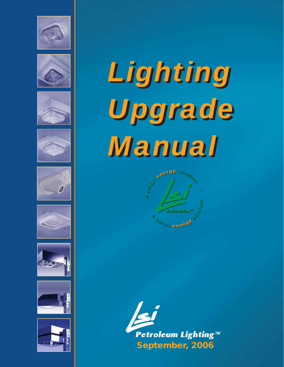

















# *Lighting Lighting Upgrade Upgrade Manual Manual*



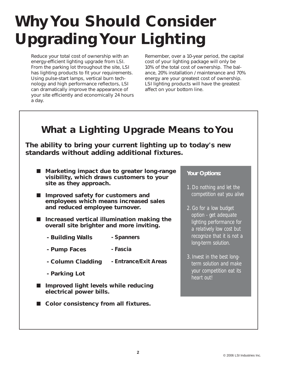## **Why You Should Consider Upgrading Your Lighting**

Reduce your total cost of ownership with an energy-efficient lighting upgrade from LSI. From the parking lot throughout the site, LSI has lighting products to fit your requirements. Using pulse-start lamps, vertical burn technology and high performance reflectors, LSI can dramatically improve the appearance of your site efficiently and economically 24 hours a day.

Remember, over a 10-year period, the capital cost of your lighting package will only be 10% of the total cost of ownership. The balance, 20% installation / maintenance and 70% energy are your greatest cost of ownership. LSI lighting products will have the greatest affect on your bottom line.

### **What a Lighting Upgrade Means to You**

**The ability to bring your current lighting up to today's new standards without adding additional fixtures.**

- Marketing impact due to greater long-range **visibility, which draws customers to your site as they approach.**
- ■ **Improved safety for customers and employees which means increased sales and reduced employee turnover.**
- Increased vertical illumination making the **overall site brighter and more inviting.**
	- **Building Walls - Spanners**
	- **Pump Faces - Fascia**
	- **Column Cladding - Entrance/Exit Areas**
	- **Parking Lot**
- Improved light levels while reducing **electrical power bills.**
- Color consistency from all fixtures.

#### *Your Options:*

- *1. Do nothing and let the competition eat you alive*
- *2. Go for a low budget option - get adequate lighting performance for a relatively low cost but recognize that it is not a long-term solution.*
- *3. Invest in the best longterm solution and make your competition eat its heart out!*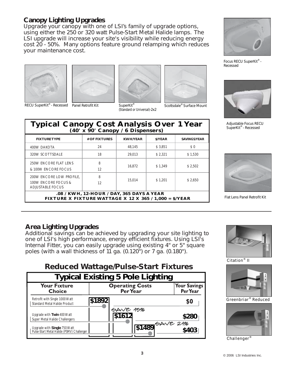#### **Canopy Lighting Upgrades**

*Upgrade your canopy with one of LSI's family of upgrade options, using either the 250 or 320 watt Pulse-Start Metal Halide lamps. The LSI upgrade will increase your site's visibility while reducing energy cost 20 - 50%. Many options feature ground relamping which reduces your maintenance cost.*

**Typical Canopy Cost Analysis Over 1 Year** - Typical Canopy Cost Analysis Over 1 Year

**FIXTURE TYPE # OF FIXTURES KWH/YEAR \$/YEAR** 400W DAKOTA | 24 | 48,145 | \$ 3,851 320W SCOTTSDALE 18 18 29.013 \$ 2.321

8.100W ENCORE FOCUS 12 16,872 \$1,349







RECU SuperKit® - Recessed Panel Retrofit Kit SuperKit® SuperKit® Scottsdale® Surface Mount (Standard or Universal)-2x2

\$ 1,201



**SAVINGS/YEAR** \$ 0 \$ 1,530

\$ 2,502



Focus RECU SuperKit® -Recessed



Adjustable Focus RECU<br>SuperKit® - Recessed



Flat Lens Panel Retrofit Kit

#### **Area Lighting Upgrades**

250W ENCORE FLAT LENS | 8

200W ENCORE LOW PROFILE, 8

ADJUSTABLE FOCUS

*Additional savings can be achieved by upgrading your site lighting to one of LSI's high performance, energy efficient fixtures. Using LSI's Internal Fitter, you can easily upgrade using existing 4" or 5" square poles (with a wall thickness of 11 ga. (0.120") or 7 ga. (0.180").* 

**.08 / KWH, 12-HOUR / DAY, 365 DAYS A YEAR FIXTURE X FIXTURE WATTAGE X 12 X 365 / 1,000 = \$/YEAR**

100W ENCORE FOCUS & 12 15,014 \$1,201 \$2,650

#### **Reduced Wattage/Pulse-Start Fixtures**

| <b>Typical Existing 5 Pole Lighting</b>                                    |                                           |                                 |  |  |  |
|----------------------------------------------------------------------------|-------------------------------------------|---------------------------------|--|--|--|
| <b>Your Fixture</b><br><b>Choice</b>                                       | <b>Operating Costs</b><br><b>Per Year</b> | <b>Your Savings</b><br>Per Year |  |  |  |
| Retrofit with Single 1000 Watt<br>Standard Metal Halide Product            | \$1892                                    | \$0                             |  |  |  |
| Upgrade with Twin 400 Watt<br>Super Metal Halide Challengers               | $6AVE$ 15%<br>\$1612                      | \$280                           |  |  |  |
| Upgrade with Single 750 Watt<br>Pulse-Start Metal Halide (PSMV) Challenger | '1\$14891 <sup>2本VE</sup> 24%             | \$403                           |  |  |  |



Citation<sup>®</sup> II



Greenbriar<sup>®</sup> Reduced



Challenger<sup>®</sup>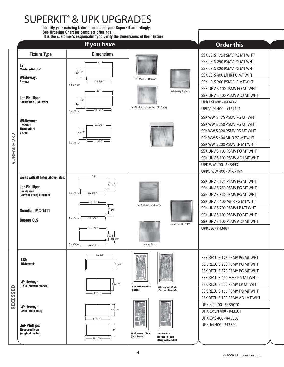## SUPERKIT**®** & UPK UPGRADES

**Identify your existing fixture and select your SuperKit accordingly. See Ordering Chart for complete offerings. It is the customer's responsibility to verify the dimensions of their fixture.**

|                       |                                                                                                                                                            | If you have                                                                                                                                    |                                                                                                                                     | <b>Order this</b>                                                                                                                                                                                                                                                              |  |
|-----------------------|------------------------------------------------------------------------------------------------------------------------------------------------------------|------------------------------------------------------------------------------------------------------------------------------------------------|-------------------------------------------------------------------------------------------------------------------------------------|--------------------------------------------------------------------------------------------------------------------------------------------------------------------------------------------------------------------------------------------------------------------------------|--|
|                       | <b>Fixture Type</b><br>LSI:<br>Masters/Dakota®<br><b>Whiteway:</b><br><b>Riviera</b><br><b>Jet-Phillips:</b><br>Houstonian (Old Style)                     | <b>Dimensions</b><br>$23 -$<br>10" 8"<br>19 3/8 "<br>SIde View<br>$23$ ".<br>8"<br>11"<br>193/8<br>SIde View                                   | LSI Masters/Dakota <sup>®</sup><br>Whiteway Riviera<br>Jet-Phillips Houstonian (Old Style)                                          | SSK LSI S 175 PSMV PG MT WHT<br>SSK LSI S 250 PSMV PG MT WHT<br>SSK LSI S 320 PSMV PG MT WHT<br>SSK LSI S 400 MHR PG MT WHT<br>SSK LSI S 200 PSMV LP MT WHT<br>SSK UNV S 100 PSMV FO MT WHT<br>SSK UNV S 100 PSMV ADJ MT WHT<br>UPK LSI 400 - #43412<br>UPKV LSI 400 - #167101 |  |
| 2X2<br><b>SURFACE</b> | <b>Whiteway:</b><br><b>Riviera II</b><br><b>Thunderbird</b><br><b>Vision</b>                                                                               | $211/8$ " $-$<br>10" 8"<br>19 3/8"<br>SIde View                                                                                                |                                                                                                                                     | SSK WW S 175 PSMV PG MT WHT<br>SSK WW S 250 PSMV PG MT WHT<br>SSK WW S 320 PSMV PG MT WHT<br>SSK WW S 400 MHR PG MT WHT<br>SSK WW S 200 PSMV LP MT WHT<br>SSK UNV S 100 PSMV FO MT WHT<br>SSK UNV S 100 PSMV ADJ MT WHT<br>UPK WW 400 - #43443<br>UPKV WW 400 - #167194        |  |
|                       | Works with all listed above, plus:<br><b>Jet-Phillips:</b><br><b>Houstonian</b><br>(Current Style) SHO/RHO<br><b>Guardian MC-1411</b><br><b>Cooper CLS</b> | $23 -$<br>8" 10"<br>SIde View<br>$-193/8$<br>211/8<br>8"10"<br>$-193/8$<br>SIde View<br>21 3/4 "<br>8 1/4"<br>101/4"<br>SIde View<br>$-193/8"$ | Jet-Phillips Houstonian<br>Guardian MC-1411<br>Cooper CLS                                                                           | SSK UNV S 175 PSMV PG MT WHT<br>SSK UNV S 250 PSMV PG MT WHT<br>SSK UNV S 320 PSMV PG MT WHT<br>SSK UNV S 400 MHR PG MT WHT<br>SSK UNV S 200 PSMV LP MT WHT<br>SSK UNV S 100 PSMV FO MT WHT<br>SSK UNV S 100 PSMV ADJ MT WHT<br>UPK Jet - #43467                               |  |
| RECESSED              | LSI:<br><b>Richmond<sup>®</sup></b><br><b>Whiteway:</b><br>Civic (current model)                                                                           | 19 1/8"<br>93/8"<br>8 9/16"<br>- 18 1/2"                                                                                                       | LSI Richmond <sup>®</sup><br><b>Whiteway: Civic</b><br><b>Series</b><br>(Current Model)                                             | SSK RECU S 175 PSMV PG MT WHT<br>SSK RECU S 250 PSMV PG MT WHT<br>SSK RECU S 320 PSMV PG MT WHT<br>SSK RECU S 400 MHR PG MT WHT<br>SSK RECU S 200 PSMV LP MT WHT<br>SSK RECU S 100 PSMV FO MT WHT<br>SSK RECU S 100 PSMV ADJ MT WHT                                            |  |
|                       | <b>Whiteway:</b><br>Civic (old model)<br><b>Jet-Phillips:</b><br><b>Recessed Icon</b><br>(original model)                                                  | 8 5/16"<br>$-171/2"$<br>9"<br>$-181/16$ <sup>"</sup>                                                                                           | 瑞園<br>精神場<br>百日度性<br>國断<br><b>Whiteway: Civic</b><br><b>Jet-Phillips</b><br>(Old Style)<br><b>Recessed Icon</b><br>(Original Model) | UPK RIC 400 - #435020<br>UPK CVCN 400 - #43501<br>UPK CVC 400 - #43503<br>UPK Jet 400 - #43504                                                                                                                                                                                 |  |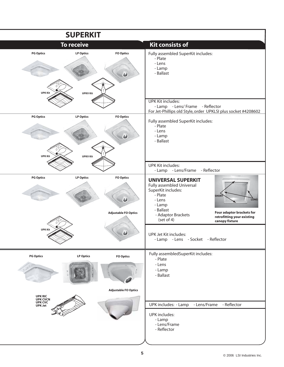|                                           | <b>SUPERKIT</b>                     |                                                 |                                                                                                                                                              |                                                                                                          |
|-------------------------------------------|-------------------------------------|-------------------------------------------------|--------------------------------------------------------------------------------------------------------------------------------------------------------------|----------------------------------------------------------------------------------------------------------|
|                                           | <b>To receive</b>                   |                                                 | <b>Kit consists of</b>                                                                                                                                       |                                                                                                          |
| <b>PG Optics</b><br><b>UPK Kit</b>        | <b>LP Optics</b><br><b>UPKV Kit</b> | <b>FO Optics</b>                                | Fully assembled SuperKit includes:<br>- Plate<br>- Lens<br>- Lamp<br>- Ballast                                                                               |                                                                                                          |
|                                           |                                     |                                                 | <b>UPK Kit includes:</b><br>- Lamp - Lens/ Frame - Reflector<br>For Jet-Phillips old Style, order UPKLSI plus socket #4208602                                |                                                                                                          |
| <b>PG Optics</b><br><b>UPK Kit</b>        | <b>LP Optics</b><br><b>UPKV Kit</b> | <b>FO Optics</b>                                | Fully assembled SuperKit includes:<br>- Plate<br>- Lens<br>- Lamp<br>- Ballast                                                                               |                                                                                                          |
|                                           |                                     |                                                 | <b>UPK Kit includes:</b><br>- Lamp - Lens/Frame                                                                                                              | - Reflector                                                                                              |
| <b>PG Optics</b>                          | <b>LP Optics</b>                    | <b>FO Optics</b><br><b>Adjustable FO Optics</b> | <b>UNIVERSAL SUPERKIT</b><br>Fully assembled Universal<br>SuperKit includes:<br>- Plate<br>- Lens<br>- Lamp<br>- Ballast<br>- Adaptor Brackets<br>(set of 4) | <b>SHORT</b><br><b>LONG</b><br>Four adaptor brackets for<br>retrofitting your existing<br>canopy fixture |
| <b>UPK Kit</b>                            |                                     |                                                 | UPK Jet Kit includes:<br>- Lamp - Lens - Socket - Reflector                                                                                                  |                                                                                                          |
| <b>PG Optics</b>                          | <b>LP Optics</b>                    | <b>FO Optics</b>                                | Fully assembledSuperKit includes:<br>- Plate<br>- Lens<br>- Lamp<br>- Ballast                                                                                |                                                                                                          |
| UPK RIC<br>UPK CVCN<br>UPK CVC<br>UPK Jet |                                     | <b>Adjustable FO Optics</b>                     | UPK includes: - Lamp - Lens/Frame<br>UPK includes:<br>- Lamp<br>- Lens/Frame<br>- Reflector                                                                  | - Reflector                                                                                              |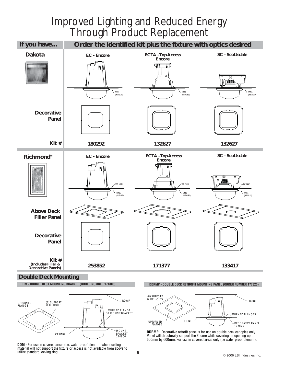## Improved Lighting and Reduced Energy Through Product Replacement



#### **Double Deck Mounting**

**DDM - DOUBLE DECK MOUNTING BRACKET (ORDER NUMBER 174806)**



**DDM** - For use in covered areas (i.e. water proof plenum) where ceiling material will not support the fixture or access is not available from above to utilize standard locking ring.

**DDRMP - DOUBLE DECK RETROFIT MOUNTING PANEL (ORDER NUMBER 177825)**



**DDRMP** - Decorative retrofit panel is for use on double deck canopies only. Panel will structurally support the Encore while covering an opening up to 600mm by 600mm. For use in covered areas only (i.e water proof plenum).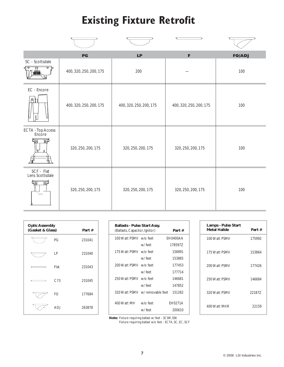## **Existing Fixture Retrofit**

|                               | P G                     | LP                      | F                       | <b>FO/ADJ</b> |
|-------------------------------|-------------------------|-------------------------|-------------------------|---------------|
| SC - Scottsdale<br>ਰ ਚ        | 400, 320, 250, 200, 175 | 200                     |                         | 100           |
| EC - Encore<br>冋              | 400, 320, 250, 200, 175 | 400, 320, 250, 200, 175 | 400, 320, 250, 200, 175 | 100           |
| ECTA - Top Access<br>Encore   | 320, 250, 200, 175      | 320, 250, 200, 175      | 320, 250, 200, 175      | 100           |
| SCF - Flat<br>Lens Scottsdale | 320, 250, 200, 175      | 320, 250, 200, 175      | 320, 250, 200, 175      | 100           |

| <b>Optic Assembly</b><br>(Gasket & Glass)<br>Part# |                 |        |  |
|----------------------------------------------------|-----------------|--------|--|
|                                                    | PG              | 231041 |  |
|                                                    | LP              | 231040 |  |
|                                                    | Flat            | 231043 |  |
|                                                    | C <sub>73</sub> | 231045 |  |
|                                                    | FO              | 177684 |  |
|                                                    | ADJ             | 263878 |  |

| <b>Ballasts - Pulse Start Assy.</b><br>(Ballasts, Capacitor, Ignitor) |                                | Part #   |
|-----------------------------------------------------------------------|--------------------------------|----------|
| 100 Watt PSMV w/o feet                                                |                                | EH0400AA |
|                                                                       | w/ feet                        | 178597Z  |
| 175 Watt PSMV w/o feet                                                |                                | 156891   |
|                                                                       | w/feet                         | 153865   |
| 200 Watt PSMV w/o feet                                                |                                | 177453   |
|                                                                       | w/ feet                        | 177714   |
| 250 Watt PSMV w/o feet                                                |                                | 146681   |
|                                                                       | w/feet                         | 147852   |
|                                                                       | 320 Watt PSMV w/removable feet | 151262   |
| 400 Watt MH                                                           | w/o feet                       | FH0271A  |
|                                                                       | w/feet                         | 200610   |

| Lamps - Pulse Start<br>Metal Halide | Part#  |
|-------------------------------------|--------|
| 100 Watt PSMV                       | 175992 |
| 175 Watt PSMV                       | 153864 |
| 200 Watt PSMV                       | 177426 |
| 250 Watt PSMV                       | 146684 |
| 320 Watt PSMV                       | 22187Z |
| 400 Watt MHR                        | 22159  |

**Note:** Fixture requiring ballast w/ feet - SCSM, SSK

Fixture requiring ballast w/o feet - ECTA, SC, EC, SCF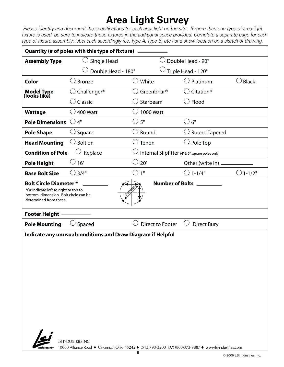## **Area Light Survey**

 *Please identify and document the specifications for each area light on the site. If more than one type of area light fixture is used, be sure to indicate these fixtures in the additional space provided. Complete a separate page for each type of fixture assembly; label each accordingly (i.e. Type A, Type B, etc.) and show location on a sketch or drawing.*

| Quantity (# of poles with this type of fixture) $\overline{\phantom{a}}$                                                                                        |                                          |                         |                                                |                   |  |  |
|-----------------------------------------------------------------------------------------------------------------------------------------------------------------|------------------------------------------|-------------------------|------------------------------------------------|-------------------|--|--|
| <b>Assembly Type</b>                                                                                                                                            | Double Head - 90°<br>Single Head         |                         |                                                |                   |  |  |
|                                                                                                                                                                 | Double Head - 180°<br>Triple Head - 120° |                         |                                                |                   |  |  |
| Color                                                                                                                                                           | <b>Bronze</b>                            | White                   | Platinum                                       | Black             |  |  |
| Model Type<br>(looks like)                                                                                                                                      | Challenger®                              | Greenbriar <sup>®</sup> | Citation®                                      |                   |  |  |
|                                                                                                                                                                 | Classic                                  | Starbeam                | $\bigcirc$ Flood                               |                   |  |  |
| <b>Wattage</b>                                                                                                                                                  | 400 Watt                                 | 1000 Watt               |                                                |                   |  |  |
| <b>Pole Dimensions</b>                                                                                                                                          | $\bigcirc$ 4"                            | $\bigcirc$ 5"           | $\bigcirc$ 6"                                  |                   |  |  |
| <b>Pole Shape</b>                                                                                                                                               | $\cup$ Square                            | Round                   | $\cup$ Round Tapered                           |                   |  |  |
| <b>Head Mounting</b>                                                                                                                                            | Bolt on                                  | Tenon                   | $\cup$ Pole Top                                |                   |  |  |
| <b>Condition of Pole</b>                                                                                                                                        | Replace                                  |                         | Internal Slipfitter (4"& 5" square poles only) |                   |  |  |
| <b>Pole Height</b>                                                                                                                                              | $\circlearrowright$ 16'                  | $\circlearrowright$ 20' | Other (write in) _                             |                   |  |  |
| <b>Base Bolt Size</b>                                                                                                                                           | $\bigcirc$ 3/4"                          | 1"                      | $\bigcirc$ 1-1/4"                              | $\bigcirc$ 1-1/2" |  |  |
| <b>Bolt Circle Diameter *</b><br>*Or indicate left to right or top to<br>bottom dimension. Bolt circle can be<br>determined from these.<br><b>Footer Height</b> | Olam                                     |                         | Number of Bolts _________                      |                   |  |  |
| <b>Pole Mounting</b>                                                                                                                                            | Spaced                                   | <b>Direct to Footer</b> | <b>Direct Bury</b>                             |                   |  |  |
| Indicate any unusual conditions and Draw Diagram if Helpful<br>$\mathbf{r}$<br><b>LSHNDUSTRIES INC.</b>                                                         |                                          |                         |                                                |                   |  |  |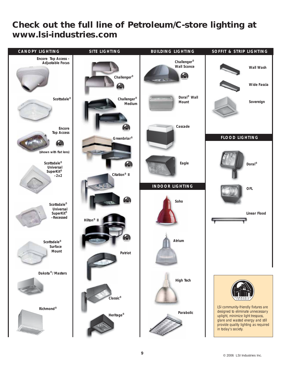#### *Check out the full line of Petroleum/C-store lighting at www.lsi-industries.com*